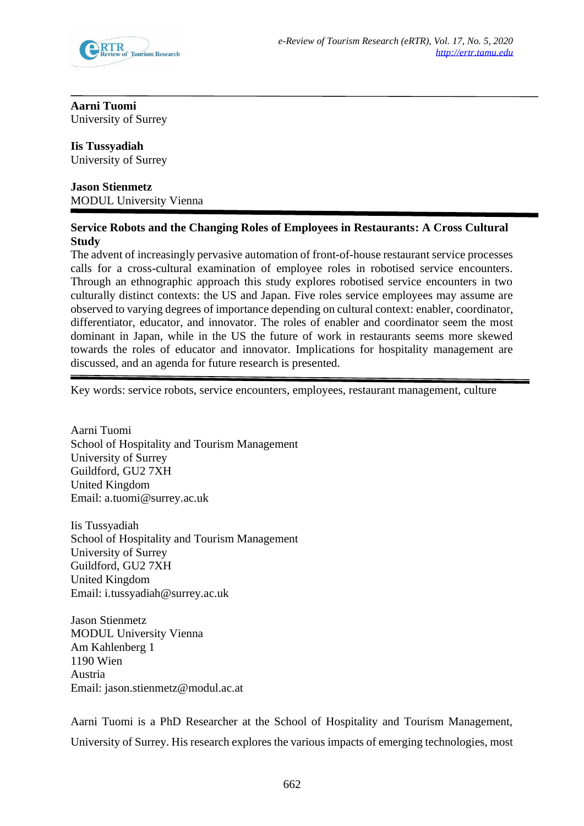

# **Aarni Tuomi** University of Surrey

# **Iis Tussyadiah**

University of Surrey

# **Jason Stienmetz** MODUL University Vienna

# **Service Robots and the Changing Roles of Employees in Restaurants: A Cross Cultural Study**

The advent of increasingly pervasive automation of front-of-house restaurant service processes calls for a cross-cultural examination of employee roles in robotised service encounters. Through an ethnographic approach this study explores robotised service encounters in two culturally distinct contexts: the US and Japan. Five roles service employees may assume are observed to varying degrees of importance depending on cultural context: enabler, coordinator, differentiator, educator, and innovator. The roles of enabler and coordinator seem the most dominant in Japan, while in the US the future of work in restaurants seems more skewed towards the roles of educator and innovator. Implications for hospitality management are discussed, and an agenda for future research is presented.

Key words: service robots, service encounters, employees, restaurant management, culture

Aarni Tuomi School of Hospitality and Tourism Management University of Surrey Guildford, GU2 7XH United Kingdom Email: a.tuomi@surrey.ac.uk

Iis Tussyadiah School of Hospitality and Tourism Management University of Surrey Guildford, GU2 7XH United Kingdom Email: i.tussyadiah@surrey.ac.uk

Jason Stienmetz MODUL University Vienna Am Kahlenberg 1 1190 Wien Austria Email: jason.stienmetz@modul.ac.at

Aarni Tuomi is a PhD Researcher at the School of Hospitality and Tourism Management, University of Surrey. His research explores the various impacts of emerging technologies, most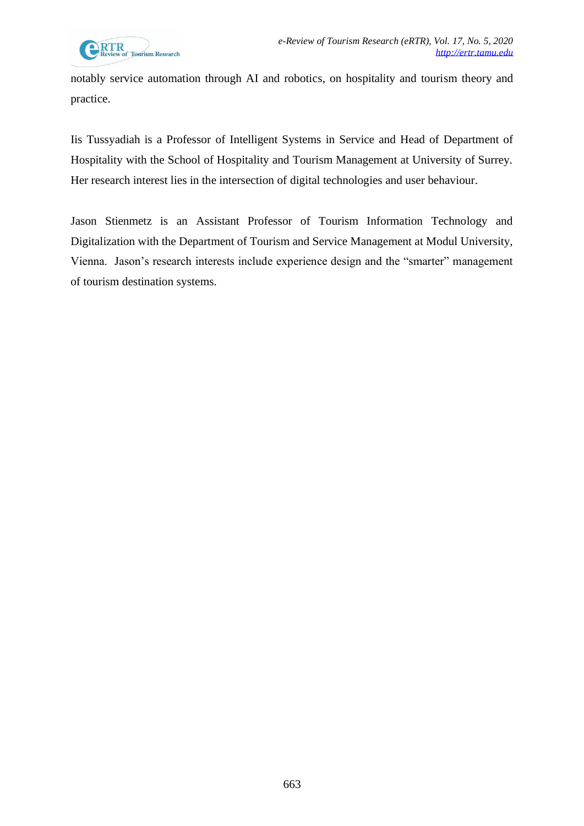notably service automation through AI and robotics, on hospitality and tourism theory and practice.

Iis Tussyadiah is a Professor of Intelligent Systems in Service and Head of Department of Hospitality with the School of Hospitality and Tourism Management at University of Surrey. Her research interest lies in the intersection of digital technologies and user behaviour.

Jason Stienmetz is an Assistant Professor of Tourism Information Technology and Digitalization with the Department of Tourism and Service Management at Modul University, Vienna. Jason's research interests include experience design and the "smarter" management of tourism destination systems.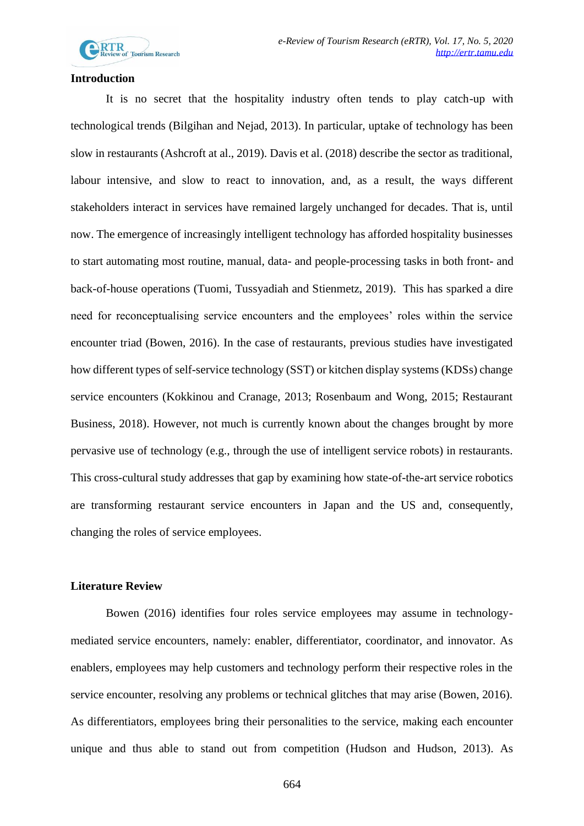

#### **Introduction**

It is no secret that the hospitality industry often tends to play catch-up with technological trends (Bilgihan and Nejad, 2013). In particular, uptake of technology has been slow in restaurants (Ashcroft at al., 2019). Davis et al. (2018) describe the sector as traditional, labour intensive, and slow to react to innovation, and, as a result, the ways different stakeholders interact in services have remained largely unchanged for decades. That is, until now. The emergence of increasingly intelligent technology has afforded hospitality businesses to start automating most routine, manual, data- and people-processing tasks in both front- and back-of-house operations (Tuomi, Tussyadiah and Stienmetz, 2019). This has sparked a dire need for reconceptualising service encounters and the employees' roles within the service encounter triad (Bowen, 2016). In the case of restaurants, previous studies have investigated how different types of self-service technology (SST) or kitchen display systems (KDSs) change service encounters (Kokkinou and Cranage, 2013; Rosenbaum and Wong, 2015; Restaurant Business, 2018). However, not much is currently known about the changes brought by more pervasive use of technology (e.g., through the use of intelligent service robots) in restaurants. This cross-cultural study addresses that gap by examining how state-of-the-art service robotics are transforming restaurant service encounters in Japan and the US and, consequently, changing the roles of service employees.

# **Literature Review**

Bowen (2016) identifies four roles service employees may assume in technologymediated service encounters, namely: enabler, differentiator, coordinator, and innovator. As enablers, employees may help customers and technology perform their respective roles in the service encounter, resolving any problems or technical glitches that may arise (Bowen, 2016). As differentiators, employees bring their personalities to the service, making each encounter unique and thus able to stand out from competition (Hudson and Hudson, 2013). As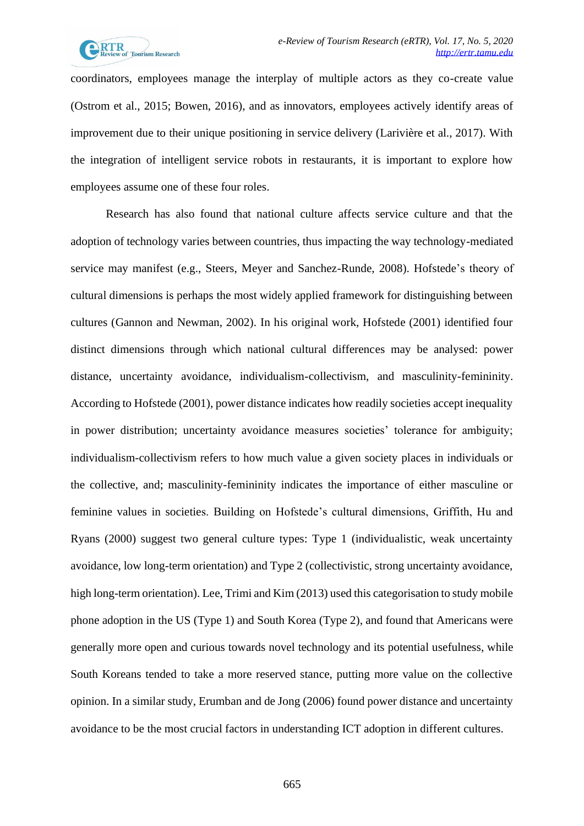

coordinators, employees manage the interplay of multiple actors as they co-create value (Ostrom et al., 2015; Bowen, 2016), and as innovators, employees actively identify areas of improvement due to their unique positioning in service delivery (Larivière et al., 2017). With the integration of intelligent service robots in restaurants, it is important to explore how employees assume one of these four roles.

Research has also found that national culture affects service culture and that the adoption of technology varies between countries, thus impacting the way technology-mediated service may manifest (e.g., Steers, Meyer and Sanchez-Runde, 2008). Hofstede's theory of cultural dimensions is perhaps the most widely applied framework for distinguishing between cultures (Gannon and Newman, 2002). In his original work, Hofstede (2001) identified four distinct dimensions through which national cultural differences may be analysed: power distance, uncertainty avoidance, individualism-collectivism, and masculinity-femininity. According to Hofstede (2001), power distance indicates how readily societies accept inequality in power distribution; uncertainty avoidance measures societies' tolerance for ambiguity; individualism-collectivism refers to how much value a given society places in individuals or the collective, and; masculinity-femininity indicates the importance of either masculine or feminine values in societies. Building on Hofstede's cultural dimensions, Griffith, Hu and Ryans (2000) suggest two general culture types: Type 1 (individualistic, weak uncertainty avoidance, low long-term orientation) and Type 2 (collectivistic, strong uncertainty avoidance, high long-term orientation). Lee, Trimi and Kim (2013) used this categorisation to study mobile phone adoption in the US (Type 1) and South Korea (Type 2), and found that Americans were generally more open and curious towards novel technology and its potential usefulness, while South Koreans tended to take a more reserved stance, putting more value on the collective opinion. In a similar study, Erumban and de Jong (2006) found power distance and uncertainty avoidance to be the most crucial factors in understanding ICT adoption in different cultures.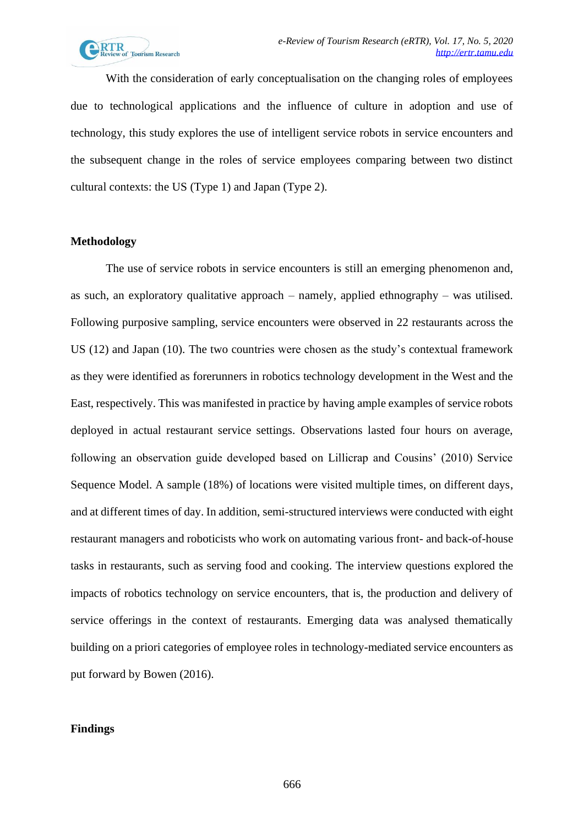With the consideration of early conceptualisation on the changing roles of employees due to technological applications and the influence of culture in adoption and use of technology, this study explores the use of intelligent service robots in service encounters and the subsequent change in the roles of service employees comparing between two distinct cultural contexts: the US (Type 1) and Japan (Type 2).

# **Methodology**

The use of service robots in service encounters is still an emerging phenomenon and, as such, an exploratory qualitative approach – namely, applied ethnography – was utilised. Following purposive sampling, service encounters were observed in 22 restaurants across the US (12) and Japan (10). The two countries were chosen as the study's contextual framework as they were identified as forerunners in robotics technology development in the West and the East, respectively. This was manifested in practice by having ample examples of service robots deployed in actual restaurant service settings. Observations lasted four hours on average, following an observation guide developed based on Lillicrap and Cousins' (2010) Service Sequence Model. A sample (18%) of locations were visited multiple times, on different days, and at different times of day. In addition, semi-structured interviews were conducted with eight restaurant managers and roboticists who work on automating various front- and back-of-house tasks in restaurants, such as serving food and cooking. The interview questions explored the impacts of robotics technology on service encounters, that is, the production and delivery of service offerings in the context of restaurants. Emerging data was analysed thematically building on a priori categories of employee roles in technology-mediated service encounters as put forward by Bowen (2016).

## **Findings**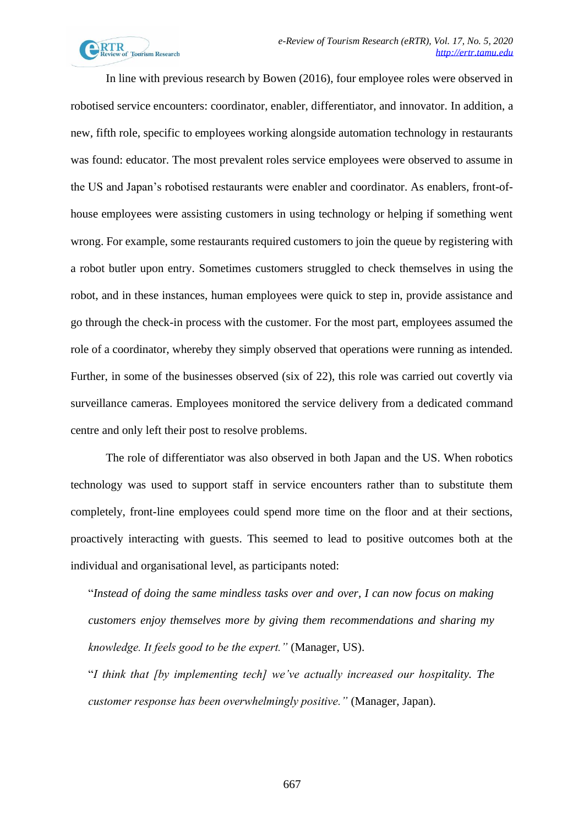

In line with previous research by Bowen (2016), four employee roles were observed in robotised service encounters: coordinator, enabler, differentiator, and innovator. In addition, a new, fifth role, specific to employees working alongside automation technology in restaurants was found: educator. The most prevalent roles service employees were observed to assume in the US and Japan's robotised restaurants were enabler and coordinator. As enablers, front-ofhouse employees were assisting customers in using technology or helping if something went wrong. For example, some restaurants required customers to join the queue by registering with a robot butler upon entry. Sometimes customers struggled to check themselves in using the robot, and in these instances, human employees were quick to step in, provide assistance and go through the check-in process with the customer. For the most part, employees assumed the role of a coordinator, whereby they simply observed that operations were running as intended. Further, in some of the businesses observed (six of 22), this role was carried out covertly via surveillance cameras. Employees monitored the service delivery from a dedicated command centre and only left their post to resolve problems.

The role of differentiator was also observed in both Japan and the US. When robotics technology was used to support staff in service encounters rather than to substitute them completely, front-line employees could spend more time on the floor and at their sections, proactively interacting with guests. This seemed to lead to positive outcomes both at the individual and organisational level, as participants noted:

"*Instead of doing the same mindless tasks over and over, I can now focus on making customers enjoy themselves more by giving them recommendations and sharing my knowledge. It feels good to be the expert."* (Manager, US).

"*I think that [by implementing tech] we've actually increased our hospitality. The customer response has been overwhelmingly positive."* (Manager, Japan).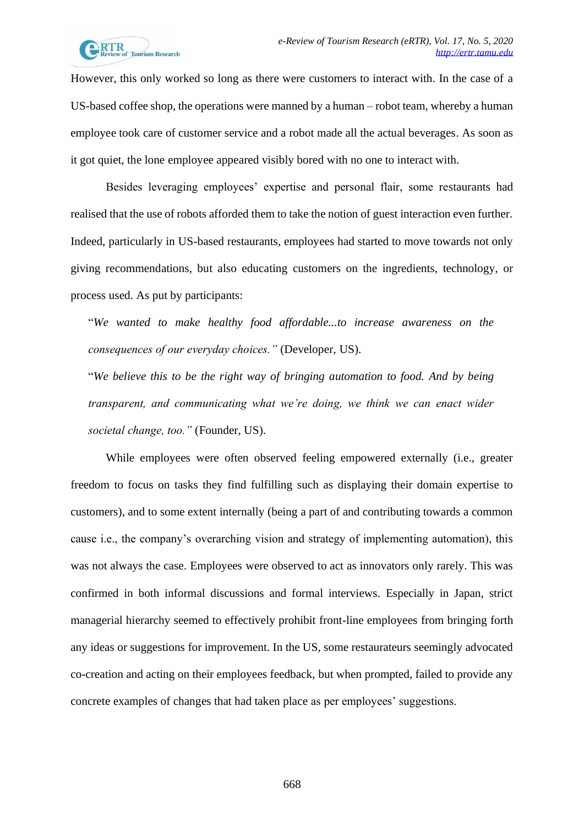

However, this only worked so long as there were customers to interact with. In the case of a US-based coffee shop, the operations were manned by a human – robot team, whereby a human employee took care of customer service and a robot made all the actual beverages. As soon as it got quiet, the lone employee appeared visibly bored with no one to interact with.

Besides leveraging employees' expertise and personal flair, some restaurants had realised that the use of robots afforded them to take the notion of guest interaction even further. Indeed, particularly in US-based restaurants, employees had started to move towards not only giving recommendations, but also educating customers on the ingredients, technology, or process used. As put by participants:

"*We wanted to make healthy food affordable...to increase awareness on the consequences of our everyday choices."* (Developer, US).

"*We believe this to be the right way of bringing automation to food. And by being transparent, and communicating what we're doing, we think we can enact wider societal change, too."* (Founder, US).

While employees were often observed feeling empowered externally (i.e., greater freedom to focus on tasks they find fulfilling such as displaying their domain expertise to customers), and to some extent internally (being a part of and contributing towards a common cause i.e., the company's overarching vision and strategy of implementing automation), this was not always the case. Employees were observed to act as innovators only rarely. This was confirmed in both informal discussions and formal interviews. Especially in Japan, strict managerial hierarchy seemed to effectively prohibit front-line employees from bringing forth any ideas or suggestions for improvement. In the US, some restaurateurs seemingly advocated co-creation and acting on their employees feedback, but when prompted, failed to provide any concrete examples of changes that had taken place as per employees' suggestions.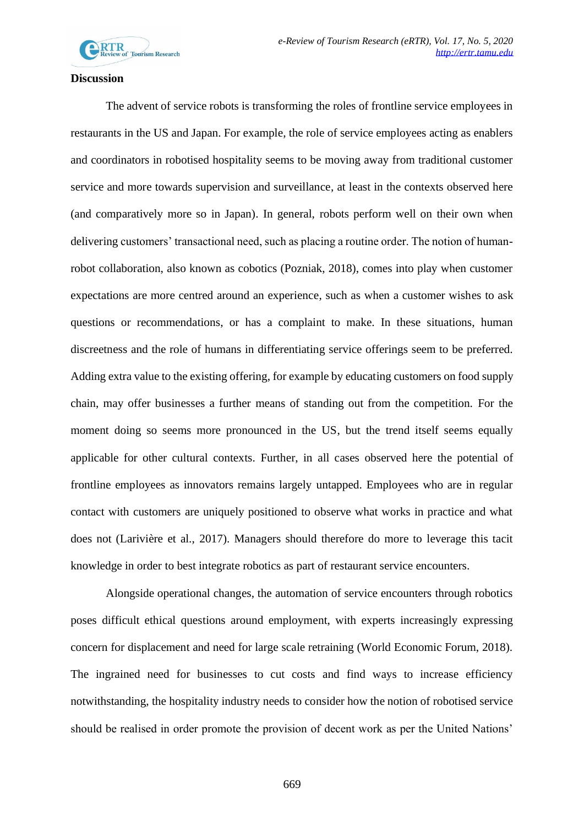

### **Discussion**

The advent of service robots is transforming the roles of frontline service employees in restaurants in the US and Japan. For example, the role of service employees acting as enablers and coordinators in robotised hospitality seems to be moving away from traditional customer service and more towards supervision and surveillance, at least in the contexts observed here (and comparatively more so in Japan). In general, robots perform well on their own when delivering customers' transactional need, such as placing a routine order. The notion of humanrobot collaboration, also known as cobotics (Pozniak, 2018), comes into play when customer expectations are more centred around an experience, such as when a customer wishes to ask questions or recommendations, or has a complaint to make. In these situations, human discreetness and the role of humans in differentiating service offerings seem to be preferred. Adding extra value to the existing offering, for example by educating customers on food supply chain, may offer businesses a further means of standing out from the competition. For the moment doing so seems more pronounced in the US, but the trend itself seems equally applicable for other cultural contexts. Further, in all cases observed here the potential of frontline employees as innovators remains largely untapped. Employees who are in regular contact with customers are uniquely positioned to observe what works in practice and what does not (Larivière et al., 2017). Managers should therefore do more to leverage this tacit knowledge in order to best integrate robotics as part of restaurant service encounters.

Alongside operational changes, the automation of service encounters through robotics poses difficult ethical questions around employment, with experts increasingly expressing concern for displacement and need for large scale retraining (World Economic Forum, 2018). The ingrained need for businesses to cut costs and find ways to increase efficiency notwithstanding, the hospitality industry needs to consider how the notion of robotised service should be realised in order promote the provision of decent work as per the United Nations'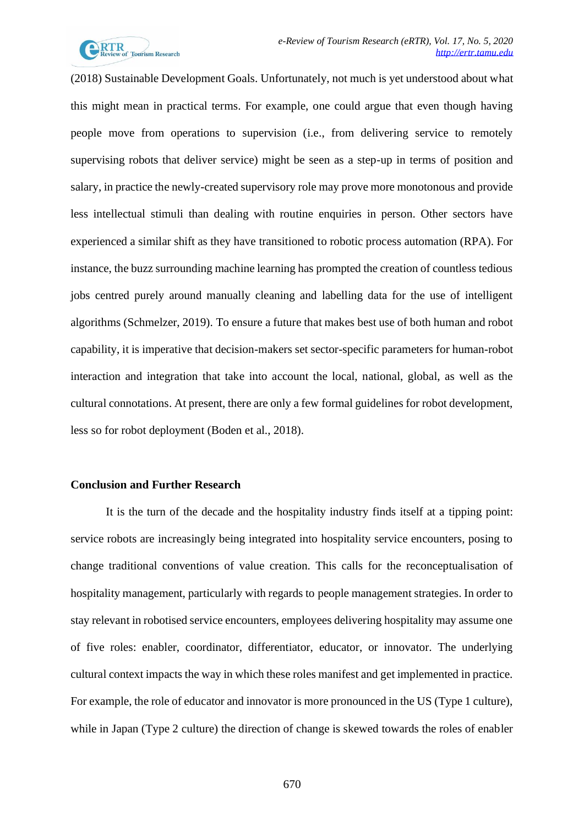

(2018) Sustainable Development Goals. Unfortunately, not much is yet understood about what this might mean in practical terms. For example, one could argue that even though having people move from operations to supervision (i.e., from delivering service to remotely supervising robots that deliver service) might be seen as a step-up in terms of position and salary, in practice the newly-created supervisory role may prove more monotonous and provide less intellectual stimuli than dealing with routine enquiries in person. Other sectors have experienced a similar shift as they have transitioned to robotic process automation (RPA). For instance, the buzz surrounding machine learning has prompted the creation of countless tedious jobs centred purely around manually cleaning and labelling data for the use of intelligent algorithms (Schmelzer, 2019). To ensure a future that makes best use of both human and robot capability, it is imperative that decision-makers set sector-specific parameters for human-robot interaction and integration that take into account the local, national, global, as well as the cultural connotations. At present, there are only a few formal guidelines for robot development, less so for robot deployment (Boden et al., 2018).

#### **Conclusion and Further Research**

It is the turn of the decade and the hospitality industry finds itself at a tipping point: service robots are increasingly being integrated into hospitality service encounters, posing to change traditional conventions of value creation. This calls for the reconceptualisation of hospitality management, particularly with regards to people management strategies. In order to stay relevant in robotised service encounters, employees delivering hospitality may assume one of five roles: enabler, coordinator, differentiator, educator, or innovator. The underlying cultural context impacts the way in which these roles manifest and get implemented in practice. For example, the role of educator and innovator is more pronounced in the US (Type 1 culture), while in Japan (Type 2 culture) the direction of change is skewed towards the roles of enabler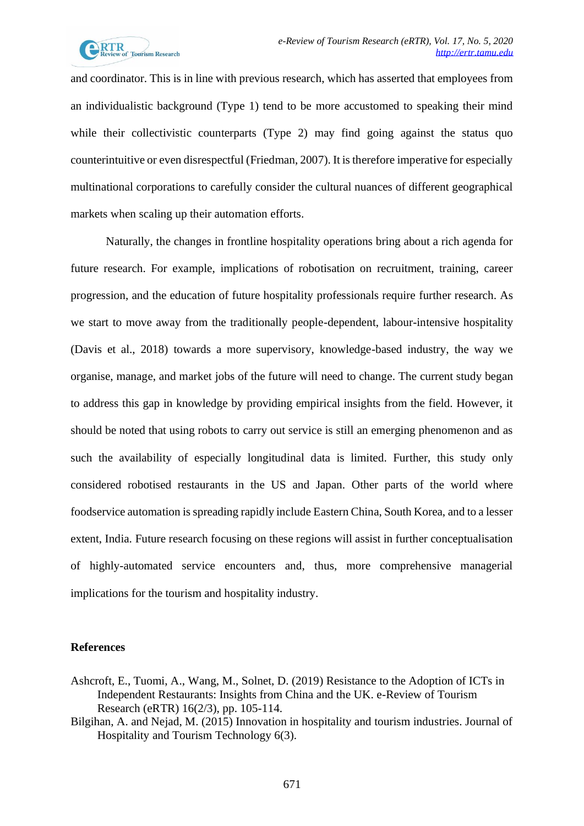

and coordinator. This is in line with previous research, which has asserted that employees from an individualistic background (Type 1) tend to be more accustomed to speaking their mind while their collectivistic counterparts (Type 2) may find going against the status quo counterintuitive or even disrespectful (Friedman, 2007). It is therefore imperative for especially multinational corporations to carefully consider the cultural nuances of different geographical markets when scaling up their automation efforts.

Naturally, the changes in frontline hospitality operations bring about a rich agenda for future research. For example, implications of robotisation on recruitment, training, career progression, and the education of future hospitality professionals require further research. As we start to move away from the traditionally people-dependent, labour-intensive hospitality (Davis et al., 2018) towards a more supervisory, knowledge-based industry, the way we organise, manage, and market jobs of the future will need to change. The current study began to address this gap in knowledge by providing empirical insights from the field. However, it should be noted that using robots to carry out service is still an emerging phenomenon and as such the availability of especially longitudinal data is limited. Further, this study only considered robotised restaurants in the US and Japan. Other parts of the world where foodservice automation is spreading rapidly include Eastern China, South Korea, and to a lesser extent, India. Future research focusing on these regions will assist in further conceptualisation of highly-automated service encounters and, thus, more comprehensive managerial implications for the tourism and hospitality industry.

### **References**

- Ashcroft, E., Tuomi, A., Wang, M., Solnet, D. (2019) Resistance to the Adoption of ICTs in Independent Restaurants: Insights from China and the UK. e-Review of Tourism Research (eRTR) 16(2/3), pp. 105-114.
- Bilgihan, A. and Nejad, M. (2015) Innovation in hospitality and tourism industries. Journal of Hospitality and Tourism Technology 6(3).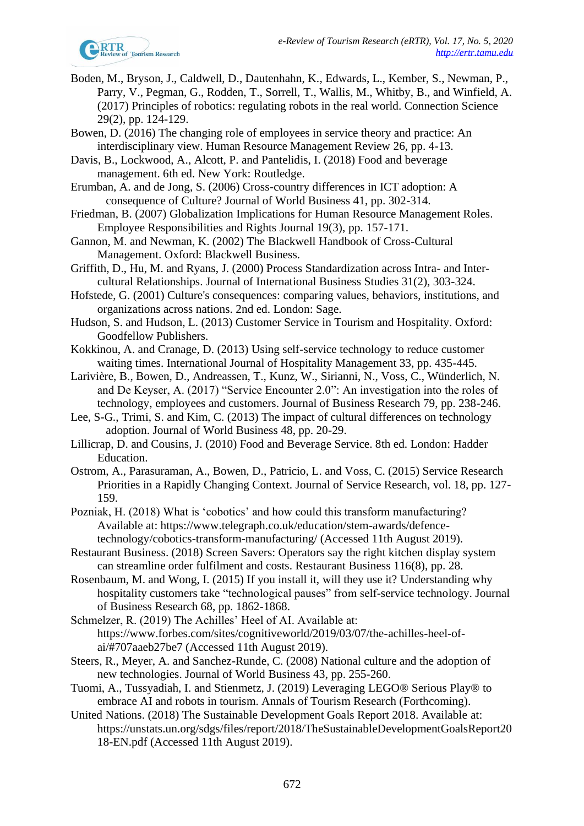

- Boden, M., Bryson, J., Caldwell, D., Dautenhahn, K., Edwards, L., Kember, S., Newman, P., Parry, V., Pegman, G., Rodden, T., Sorrell, T., Wallis, M., Whitby, B., and Winfield, A. (2017) Principles of robotics: regulating robots in the real world. Connection Science 29(2), pp. 124-129.
- Bowen, D. (2016) The changing role of employees in service theory and practice: An interdisciplinary view. Human Resource Management Review 26, pp. 4-13.
- Davis, B., Lockwood, A., Alcott, P. and Pantelidis, I. (2018) Food and beverage management. 6th ed. New York: Routledge.
- Erumban, A. and de Jong, S. (2006) Cross-country differences in ICT adoption: A consequence of Culture? Journal of World Business 41, pp. 302-314.
- Friedman, B. (2007) Globalization Implications for Human Resource Management Roles. Employee Responsibilities and Rights Journal 19(3), pp. 157-171.
- Gannon, M. and Newman, K. (2002) The Blackwell Handbook of Cross-Cultural Management. Oxford: Blackwell Business.
- Griffith, D., Hu, M. and Ryans, J. (2000) Process Standardization across Intra- and Intercultural Relationships. Journal of International Business Studies 31(2), 303-324.
- Hofstede, G. (2001) Culture's consequences: comparing values, behaviors, institutions, and organizations across nations. 2nd ed. London: Sage.
- Hudson, S. and Hudson, L. (2013) Customer Service in Tourism and Hospitality. Oxford: Goodfellow Publishers.
- Kokkinou, A. and Cranage, D. (2013) Using self-service technology to reduce customer waiting times. International Journal of Hospitality Management 33, pp. 435-445.
- Larivière, B., Bowen, D., Andreassen, T., Kunz, W., Sirianni, N., Voss, C., Wünderlich, N. and De Keyser, A. (2017) "Service Encounter 2.0": An investigation into the roles of technology, employees and customers. Journal of Business Research 79, pp. 238-246.
- Lee, S-G., Trimi, S. and Kim, C. (2013) The impact of cultural differences on technology adoption. Journal of World Business 48, pp. 20-29.
- Lillicrap, D. and Cousins, J. (2010) Food and Beverage Service. 8th ed. London: Hadder Education.
- Ostrom, A., Parasuraman, A., Bowen, D., Patricio, L. and Voss, C. (2015) Service Research Priorities in a Rapidly Changing Context. Journal of Service Research, vol. 18, pp. 127- 159.
- Pozniak, H. (2018) What is 'cobotics' and how could this transform manufacturing? Available at: https://www.telegraph.co.uk/education/stem-awards/defencetechnology/cobotics-transform-manufacturing/ (Accessed 11th August 2019).
- Restaurant Business. (2018) Screen Savers: Operators say the right kitchen display system can streamline order fulfilment and costs. Restaurant Business 116(8), pp. 28.
- Rosenbaum, M. and Wong, I. (2015) If you install it, will they use it? Understanding why hospitality customers take "technological pauses" from self-service technology. Journal of Business Research 68, pp. 1862-1868.
- Schmelzer, R. (2019) The Achilles' Heel of AI. Available at: https://www.forbes.com/sites/cognitiveworld/2019/03/07/the-achilles-heel-ofai/#707aaeb27be7 (Accessed 11th August 2019).
- Steers, R., Meyer, A. and Sanchez-Runde, C. (2008) National culture and the adoption of new technologies. Journal of World Business 43, pp. 255-260.
- Tuomi, A., Tussyadiah, I. and Stienmetz, J. (2019) Leveraging LEGO® Serious Play® to embrace AI and robots in tourism. Annals of Tourism Research (Forthcoming).
- United Nations. (2018) The Sustainable Development Goals Report 2018. Available at: https://unstats.un.org/sdgs/files/report/2018/TheSustainableDevelopmentGoalsReport20 18-EN.pdf (Accessed 11th August 2019).